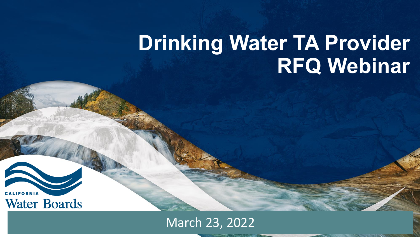# **Drinking Water TA Provider RFQ Webinar**

California Water Boards

CALIFORNIA **Water Boards** 

March 23, 2022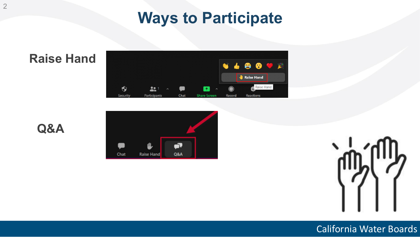# **Ways to Participate**

**Raise Hand** 

**Q&A**







#### California Water Boards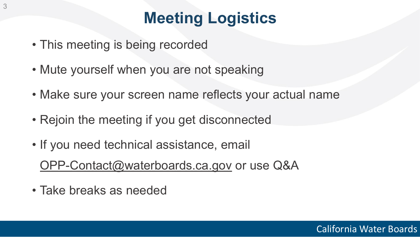# **Meeting Logistics**

- This meeting is being recorded
- Mute yourself when you are not speaking
- Make sure your screen name reflects your actual name
- Rejoin the meeting if you get disconnected
- If you need technical assistance, email [OPP-Contact@waterboards.ca.gov](mailto:OPP-Contact@waterboards.ca.gov) or use Q&A
- Take breaks as needed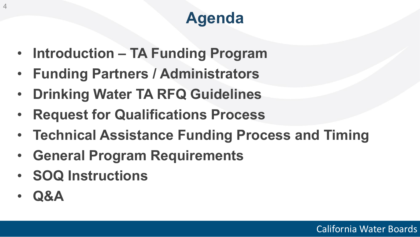# **Agenda**

- **Introduction TA Funding Program**
- **Funding Partners / Administrators**
- **Drinking Water TA RFQ Guidelines**
- **Request for Qualifications Process**
- **Technical Assistance Funding Process and Timing**
- **General Program Requirements**
- **SOQ Instructions**
- **Q&A**

4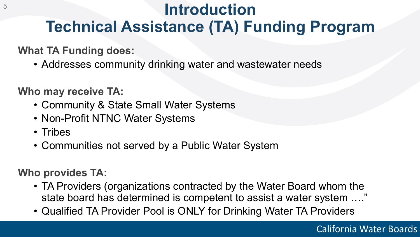# **Introduction Technical Assistance (TA) Funding Program**

#### **What TA Funding does:**

• Addresses community drinking water and wastewater needs

**Who may receive TA:** 

- Community & State Small Water Systems
- Non-Profit NTNC Water Systems
- Tribes
- Communities not served by a Public Water System

#### **Who provides TA:**

- TA Providers (organizations contracted by the Water Board whom the state board has determined is competent to assist a water system …."
- Qualified TA Provider Pool is ONLY for Drinking Water TA Providers

5

#### California Water Boards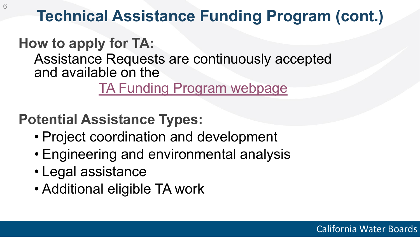# **Technical Assistance Funding Program (cont.)**

# **How to apply for TA:**

Assistance Requests are continuously accepted and available on the

## [TA Funding Program webpage](https://www.waterboards.ca.gov/water_issues/programs/grants_loans/tech_asst_funding.html)

# **Potential Assistance Types:**

- Project coordination and development
- Engineering and environmental analysis
- Legal assistance
- Additional eligible TA work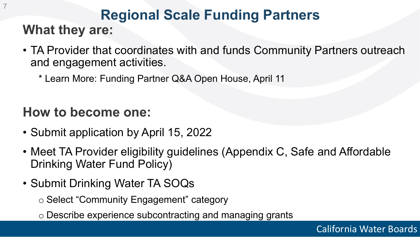## **Regional Scale Funding Partners What they are:**

- TA Provider that coordinates with and funds Community Partners outreach and engagement activities.
	- \* Learn More: Funding Partner Q&A Open House, April 11

## **How to become one:**

7

- Submit application by April 15, 2022
- Meet TA Provider eligibility guidelines (Appendix C, Safe and Affordable Drinking Water Fund Policy)
- Submit Drinking Water TA SOQs

o Select "Community Engagement" category

o Describe experience subcontracting and managing grants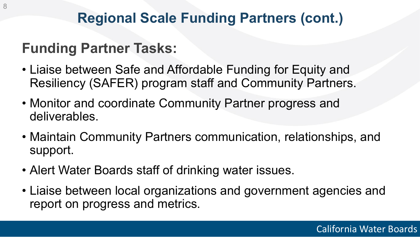# **Regional Scale Funding Partners (cont.)**

# **Funding Partner Tasks:**

- Liaise between Safe and Affordable Funding for Equity and Resiliency (SAFER) program staff and Community Partners.
- Monitor and coordinate Community Partner progress and deliverables.
- Maintain Community Partners communication, relationships, and support.
- Alert Water Boards staff of drinking water issues.
- Liaise between local organizations and government agencies and report on progress and metrics.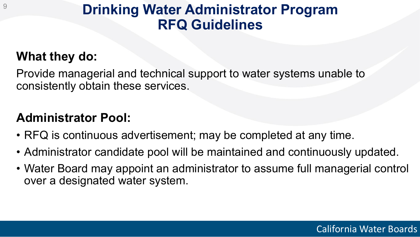# **Drinking Water Administrator Program RFQ Guidelines**

## **What they do:**

9

Provide managerial and technical support to water systems unable to consistently obtain these services.

## **Administrator Pool:**

- RFQ is continuous advertisement; may be completed at any time.
- Administrator candidate pool will be maintained and continuously updated.
- Water Board may appoint an administrator to assume full managerial control over a designated water system.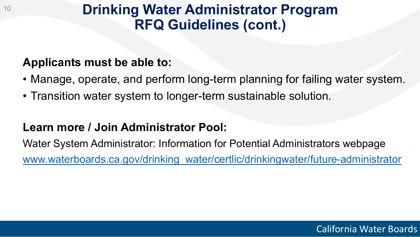# **Drinking Water Administrator Program RFQ Guidelines (cont.)**

#### **Applicants must be able to:**

10

- Manage, operate, and perform long-term planning for failing water system.
- Transition water system to longer-term sustainable solution.

### **Learn more / Join Administrator Pool:**

Water System Administrator: Information for Potential Administrators webpage [www.waterboards.ca.gov/drinking\\_water/certlic/drinkingwater/future-administrator](http://www.waterboards.ca.gov/drinking_water/certlic/drinkingwater/future-administrator)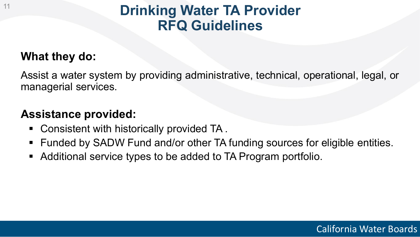# **Drinking Water TA Provider RFQ Guidelines**

### **What they do:**

Assist a water system by providing administrative, technical, operational, legal, or managerial services.

#### **Assistance provided:**

- Consistent with historically provided TA.
- Funded by SADW Fund and/or other TA funding sources for eligible entities.
- Additional service types to be added to TA Program portfolio.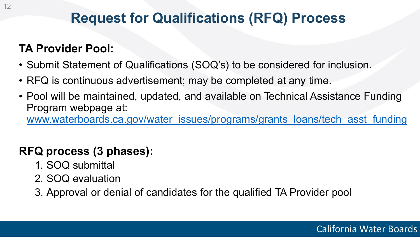# **Request for Qualifications (RFQ) Process**

## **TA Provider Pool:**

- Submit Statement of Qualifications (SOQ's) to be considered for inclusion.
- RFQ is continuous advertisement; may be completed at any time.
- Pool will be maintained, updated, and available on Technical Assistance Funding Program webpage at: [www.waterboards.ca.gov/water\\_issues/programs/grants\\_loans/tech\\_asst\\_funding](http://www.waterboards.ca.gov/water_issues/programs/grants_loans/tech_asst_funding)

## **RFQ process (3 phases):**

- 1. SOQ submittal
- 2. SOQ evaluation
- 3. Approval or denial of candidates for the qualified TA Provider pool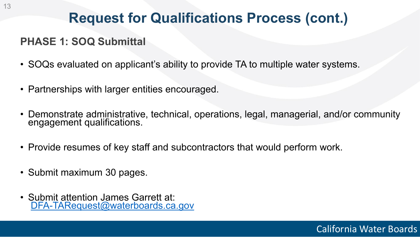# **Request for Qualifications Process (cont.)**

#### **PHASE 1: SOQ Submittal**

- SOQs evaluated on applicant's ability to provide TA to multiple water systems.
- Partnerships with larger entities encouraged.
- Demonstrate administrative, technical, operations, legal, managerial, and/or community engagement qualifications.
- Provide resumes of key staff and subcontractors that would perform work.
- Submit maximum 30 pages.
- Submit attention James Garrett at: [DFA-TARequest@waterboards.ca.gov](mailto:DFA-TARequest@waterboards.ca.gov)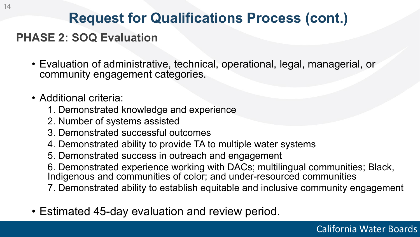# **Request for Qualifications Process (cont.)**

### **PHASE 2: SOQ Evaluation**

- Evaluation of administrative, technical, operational, legal, managerial, or community engagement categories.
- Additional criteria:
	- 1. Demonstrated knowledge and experience
	- 2. Number of systems assisted
	- 3. Demonstrated successful outcomes
	- 4. Demonstrated ability to provide TA to multiple water systems
	- 5. Demonstrated success in outreach and engagement
	- 6. Demonstrated experience working with DACs; multilingual communities; Black, Indigenous and communities of color; and under-resourced communities
	- 7. Demonstrated ability to establish equitable and inclusive community engagement
- Estimated 45-day evaluation and review period.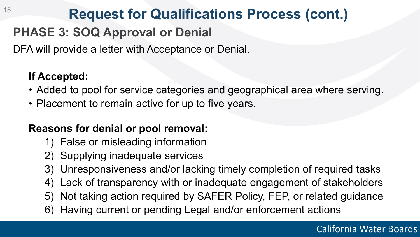# **Request for Qualifications Process (cont.)**

## **PHASE 3: SOQ Approval or Denial**

DFA will provide a letter with Acceptance or Denial.

### **If Accepted:**

15

- Added to pool for service categories and geographical area where serving.
- Placement to remain active for up to five years.

#### **Reasons for denial or pool removal:**

- 1) False or misleading information
- 2) Supplying inadequate services
- 3) Unresponsiveness and/or lacking timely completion of required tasks
- 4) Lack of transparency with or inadequate engagement of stakeholders
- 5) Not taking action required by SAFER Policy, FEP, or related guidance
- 6) Having current or pending Legal and/or enforcement actions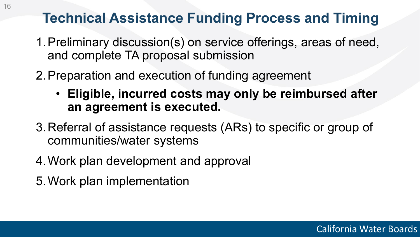# **Technical Assistance Funding Process and Timing**

- 1.Preliminary discussion(s) on service offerings, areas of need, and complete TA proposal submission
- 2.Preparation and execution of funding agreement
	- **Eligible, incurred costs may only be reimbursed after an agreement is executed.**
- 3.Referral of assistance requests (ARs) to specific or group of communities/water systems
- 4.Work plan development and approval
- 5.Work plan implementation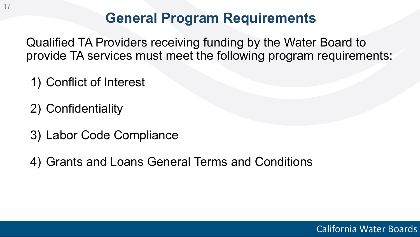## **General Program Requirements**

Qualified TA Providers receiving funding by the Water Board to provide TA services must meet the following program requirements:

- 1) Conflict of Interest
- 2) Confidentiality
- 3) Labor Code Compliance
- 4) Grants and Loans General Terms and Conditions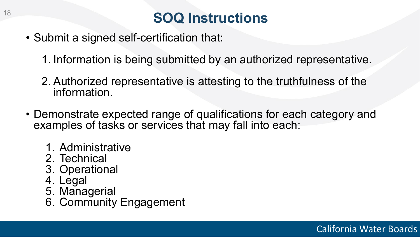# **SOQ Instructions**

- Submit a signed self-certification that:
	- 1. Information is being submitted by an authorized representative.
	- 2. Authorized representative is attesting to the truthfulness of the information.
- Demonstrate expected range of qualifications for each category and examples of tasks or services that may fall into each:
	- 1. Administrative
	- 2. Technical
	- 3. Operational
	- 4. Legal
	- 5. Managerial
	- 6. Community Engagement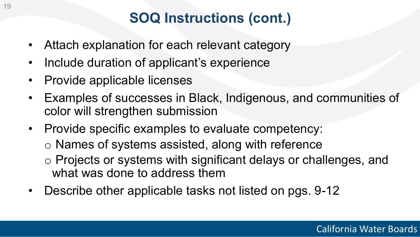# **SOQ Instructions (cont.)**

- Attach explanation for each relevant category
- Include duration of applicant's experience
- Provide applicable licenses
- Examples of successes in Black, Indigenous, and communities of color will strengthen submission
- Provide specific examples to evaluate competency: o Names of systems assisted, along with reference o Projects or systems with significant delays or challenges, and what was done to address them
- Describe other applicable tasks not listed on pgs. 9-12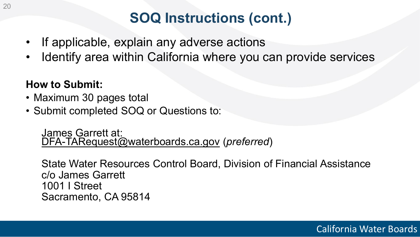# **SOQ Instructions (cont.)**

- If applicable, explain any adverse actions
- Identify area within California where you can provide services

#### **How to Submit:**

- Maximum 30 pages total
- Submit completed SOQ or Questions to:

James Garrett at: [DFA-TARequest@waterboards.ca.gov](mailto:DFA-TARequest@waterboards.ca.gov) (*preferred*)

State Water Resources Control Board, Division of Financial Assistance c/o James Garrett 1001 I Street Sacramento, CA 95814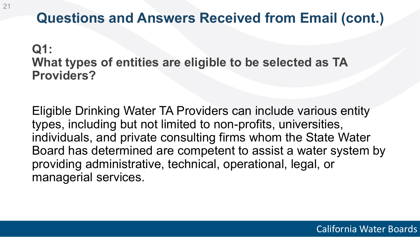# **Q1:**

## **What types of entities are eligible to be selected as TA Providers?**

Eligible Drinking Water TA Providers can include various entity types, including but not limited to non-profits, universities, individuals, and private consulting firms whom the State Water Board has determined are competent to assist a water system by providing administrative, technical, operational, legal, or managerial services.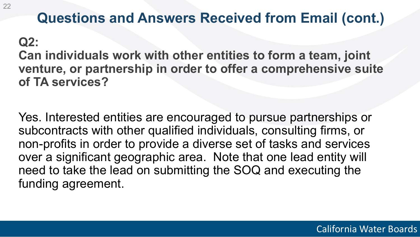## **Q2:**

**Can individuals work with other entities to form a team, joint venture, or partnership in order to offer a comprehensive suite of TA services?**

Yes. Interested entities are encouraged to pursue partnerships or subcontracts with other qualified individuals, consulting firms, or non-profits in order to provide a diverse set of tasks and services over a significant geographic area. Note that one lead entity will need to take the lead on submitting the SOQ and executing the funding agreement.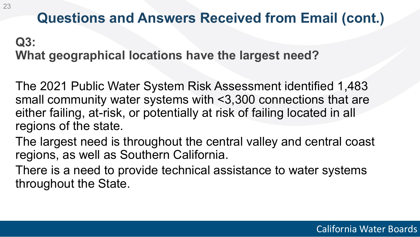## **Q3: What geographical locations have the largest need?**

The 2021 Public Water System Risk Assessment identified 1,483 small community water systems with <3,300 connections that are either failing, at-risk, or potentially at risk of failing located in all regions of the state.

The largest need is throughout the central valley and central coast regions, as well as Southern California.

There is a need to provide technical assistance to water systems throughout the State.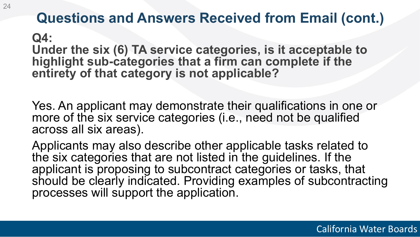**Q4: Under the six (6) TA service categories, is it acceptable to**  highlight sub-categories that a firm can complete if the **entirety of that category is not applicable?** 

Yes. An applicant may demonstrate their qualifications in one or more of the six service categories (i.e., need not be qualified across all six areas).

Applicants may also describe other applicable tasks related to the six categories that are not listed in the guidelines. If the applicant is proposing to subcontract categories or tasks, that should be clearly indicated. Providing examples of subcontracting processes will support the application.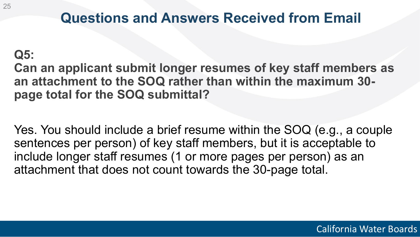## **Q5:**

25

## **Can an applicant submit longer resumes of key staff members as an attachment to the SOQ rather than within the maximum 30 page total for the SOQ submittal?**

Yes. You should include a brief resume within the SOQ (e.g., a couple sentences per person) of key staff members, but it is acceptable to include longer staff resumes (1 or more pages per person) as an attachment that does not count towards the 30-page total.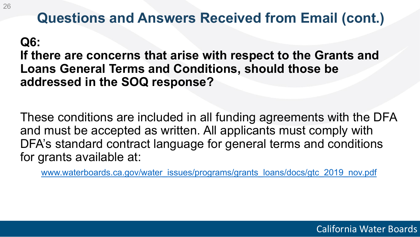### **Q6:**

**If there are concerns that arise with respect to the Grants and Loans General Terms and Conditions, should those be addressed in the SOQ response?**

These conditions are included in all funding agreements with the DFA and must be accepted as written. All applicants must comply with DFA's standard contract language for general terms and conditions for grants available at:

[www.waterboards.ca.gov/water\\_issues/programs/grants\\_loans/docs/gtc\\_2019\\_nov.pdf](http://www.waterboards.ca.gov/water_issues/programs/grants_loans/docs/gtc_2019_nov.pdf)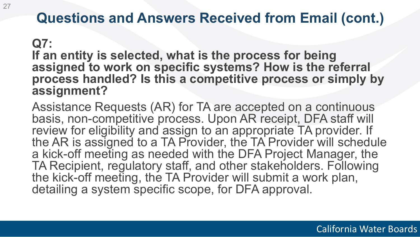#### **Q7:**

**If an entity is selected, what is the process for being assigned to work on specific systems? How is the referral process handled? Is this a competitive process or simply by assignment?**

Assistance Requests (AR) for TA are accepted on a continuous basis, non-competitive process. Upon AR receipt, DFA staff will review for eligibility and assign to an appropriate TA provider. If the AR is assigned to a TA Provider, the TA Provider will schedule a kick-off meeting as needed with the DFA Project Manager, the TA Recipient, regulatory staff, and other stakeholders. Following the kick-off meeting, the TA Provider will submit a work plan, detailing a system specific scope, for DFA approval.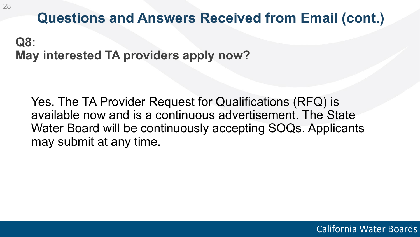**Q8: May interested TA providers apply now?** 

Yes. The TA Provider Request for Qualifications (RFQ) is available now and is a continuous advertisement. The State Water Board will be continuously accepting SOQs. Applicants may submit at any time.